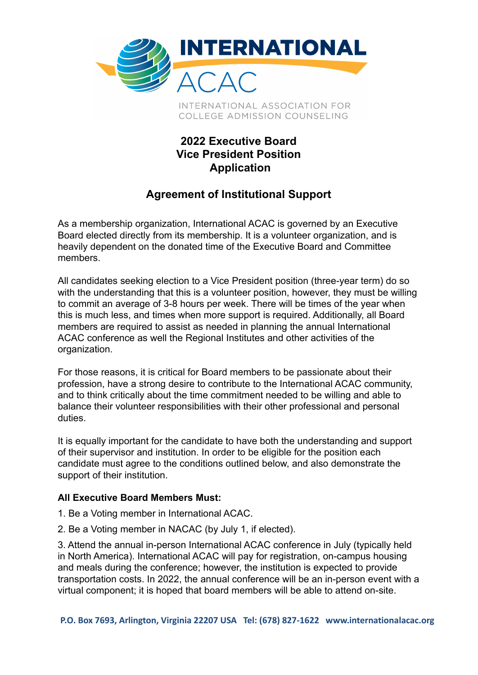

INTERNATIONAL ASSOCIATION FOR COLLEGE ADMISSION COUNSELING

## **2022 Executive Board Vice President Position Application**

## **Agreement of Institutional Support**

As a membership organization, International ACAC is governed by an Executive Board elected directly from its membership. It is a volunteer organization, and is heavily dependent on the donated time of the Executive Board and Committee members.

All candidates seeking election to a Vice President position (three-year term) do so with the understanding that this is a volunteer position, however, they must be willing to commit an average of 3-8 hours per week. There will be times of the year when this is much less, and times when more support is required. Additionally, all Board members are required to assist as needed in planning the annual International ACAC conference as well the Regional Institutes and other activities of the organization.

For those reasons, it is critical for Board members to be passionate about their profession, have a strong desire to contribute to the International ACAC community, and to think critically about the time commitment needed to be willing and able to balance their volunteer responsibilities with their other professional and personal duties.

It is equally important for the candidate to have both the understanding and support of their supervisor and institution. In order to be eligible for the position each candidate must agree to the conditions outlined below, and also demonstrate the support of their institution.

## **All Executive Board Members Must:**

- 1. Be a Voting member in International ACAC.
- 2. Be a Voting member in NACAC (by July 1, if elected).

3. Attend the annual in-person International ACAC conference in July (typically held in North America). International ACAC will pay for registration, on-campus housing and meals during the conference; however, the institution is expected to provide transportation costs. In 2022, the annual conference will be an in-person event with a virtual component; it is hoped that board members will be able to attend on-site.